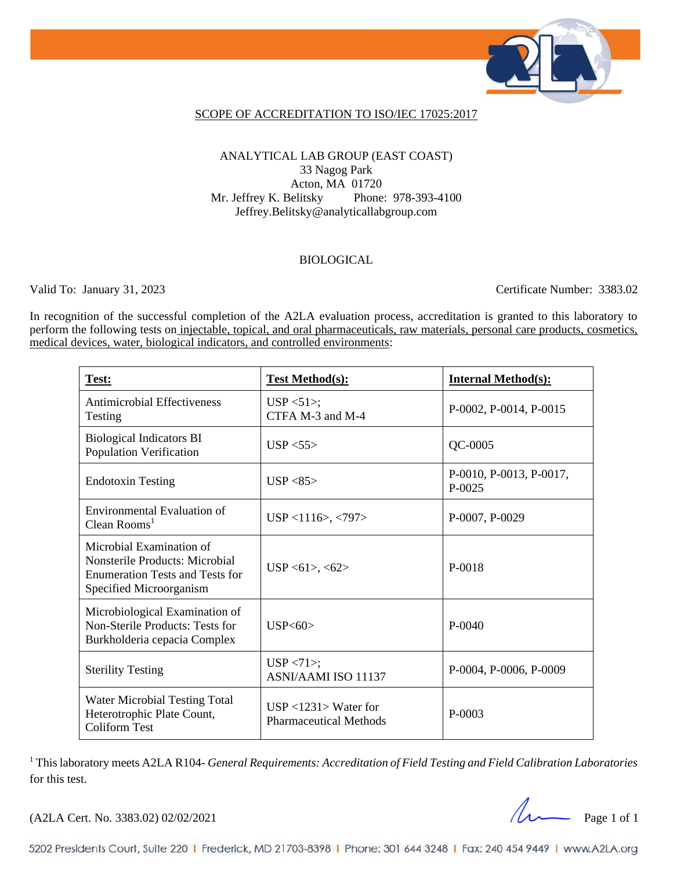

### SCOPE OF ACCREDITATION TO ISO/IEC 17025:2017

### ANALYTICAL LAB GROUP (EAST COAST) 33 Nagog Park Acton, MA 01720 Mr. Jeffrey K. Belitsky Phone: 978-393-4100 Jeffrey.Belitsky@analyticallabgroup.com

### BIOLOGICAL

Valid To: January 31, 2023 Certificate Number: 3383.02

In recognition of the successful completion of the A2LA evaluation process, accreditation is granted to this laboratory to perform the following tests on injectable, topical, and oral pharmaceuticals, raw materials, personal care products, cosmetics, medical devices, water, biological indicators, and controlled environments:

| Test:                                                                                                                                  | <b>Test Method(s):</b>                                  | <b>Internal Method(s):</b>          |
|----------------------------------------------------------------------------------------------------------------------------------------|---------------------------------------------------------|-------------------------------------|
| <b>Antimicrobial Effectiveness</b><br>Testing                                                                                          | $USP < 51$ ;<br>CTFA M-3 and M-4                        | P-0002, P-0014, P-0015              |
| <b>Biological Indicators BI</b><br>Population Verification                                                                             | USP $< 55$                                              | $QC-0005$                           |
| <b>Endotoxin Testing</b>                                                                                                               | USP $<85$                                               | P-0010, P-0013, P-0017,<br>$P-0025$ |
| Environmental Evaluation of<br>Clean Rooms <sup>1</sup>                                                                                | $USP < 1116$ , <797>                                    | P-0007, P-0029                      |
| Microbial Examination of<br><b>Nonsterile Products: Microbial</b><br><b>Enumeration Tests and Tests for</b><br>Specified Microorganism | $USP < 61$ >, <62>                                      | P-0018                              |
| Microbiological Examination of<br>Non-Sterile Products: Tests for<br>Burkholderia cepacia Complex                                      | USP<60>                                                 | $P-0040$                            |
| <b>Sterility Testing</b>                                                                                                               | $USP < 71$ ;<br><b>ASNI/AAMI ISO 11137</b>              | P-0004, P-0006, P-0009              |
| Water Microbial Testing Total<br>Heterotrophic Plate Count,<br><b>Coliform Test</b>                                                    | $USP < 1231$ Water for<br><b>Pharmaceutical Methods</b> | P-0003                              |

<sup>1</sup> This laboratory meets A2LA R104- *General Requirements: Accreditation of Field Testing and Field Calibration Laboratories* for this test.

(A2LA Cert. No. 3383.02) 02/02/2021 Page 1 of 1

5202 Presidents Court, Suite 220 | Frederick, MD 21703-8398 | Phone: 301 644 3248 | Fax: 240 454 9449 | www.A2LA.org